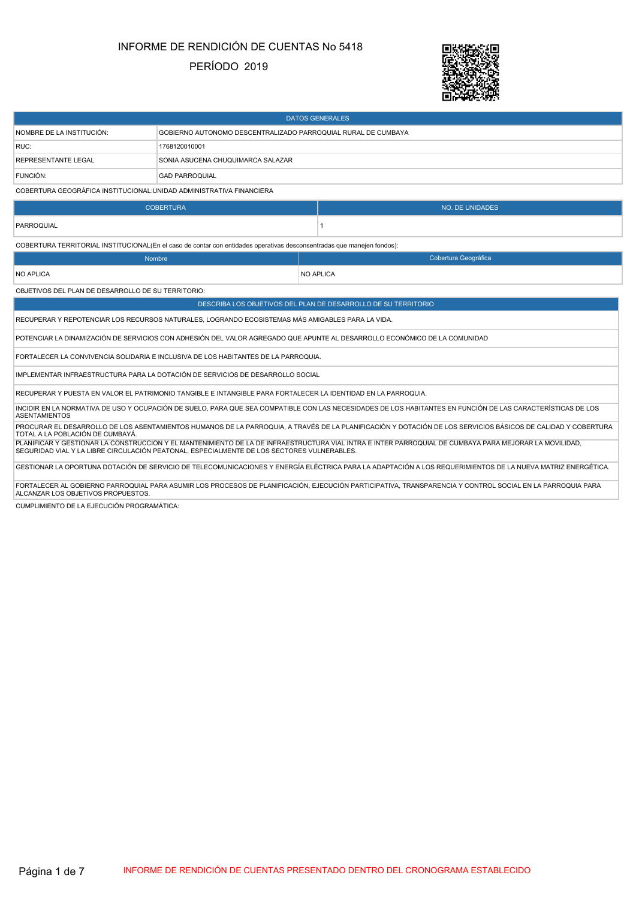# INFORME DE RENDICIÓN DE CUENTAS No 5418

### PERÍODO 2019



| <b>DATOS GENERALES</b>                                                                                                                                                                                                                               |                                                                                                                                                             |  |                                                                                                                                                             |  |  |  |
|------------------------------------------------------------------------------------------------------------------------------------------------------------------------------------------------------------------------------------------------------|-------------------------------------------------------------------------------------------------------------------------------------------------------------|--|-------------------------------------------------------------------------------------------------------------------------------------------------------------|--|--|--|
| NOMBRE DE LA INSTITUCIÓN:                                                                                                                                                                                                                            | GOBIERNO AUTONOMO DESCENTRALIZADO PARROQUIAL RURAL DE CUMBAYA                                                                                               |  |                                                                                                                                                             |  |  |  |
| RUC:                                                                                                                                                                                                                                                 | 1768120010001                                                                                                                                               |  |                                                                                                                                                             |  |  |  |
| REPRESENTANTE LEGAL                                                                                                                                                                                                                                  | SONIA ASUCENA CHUQUIMARCA SALAZAR                                                                                                                           |  |                                                                                                                                                             |  |  |  |
| FUNCIÓN:                                                                                                                                                                                                                                             | <b>GAD PARROQUIAL</b>                                                                                                                                       |  |                                                                                                                                                             |  |  |  |
| COBERTURA GEOGRÁFICA INSTITUCIONAL: UNIDAD ADMINISTRATIVA FINANCIERA                                                                                                                                                                                 |                                                                                                                                                             |  |                                                                                                                                                             |  |  |  |
|                                                                                                                                                                                                                                                      | <b>COBERTURA</b>                                                                                                                                            |  | <b>NO. DE UNIDADES</b>                                                                                                                                      |  |  |  |
| PARROQUIAL                                                                                                                                                                                                                                           |                                                                                                                                                             |  | $\mathbf{1}$                                                                                                                                                |  |  |  |
|                                                                                                                                                                                                                                                      | COBERTURA TERRITORIAL INSTITUCIONAL(En el caso de contar con entidades operativas desconsentradas que manejen fondos):                                      |  |                                                                                                                                                             |  |  |  |
| Nombre                                                                                                                                                                                                                                               |                                                                                                                                                             |  | Cobertura Geográfica                                                                                                                                        |  |  |  |
| <b>NO APLICA</b>                                                                                                                                                                                                                                     |                                                                                                                                                             |  | <b>NO APLICA</b>                                                                                                                                            |  |  |  |
| OBJETIVOS DEL PLAN DE DESARROLLO DE SU TERRITORIO:                                                                                                                                                                                                   |                                                                                                                                                             |  |                                                                                                                                                             |  |  |  |
|                                                                                                                                                                                                                                                      |                                                                                                                                                             |  | DESCRIBA LOS OBJETIVOS DEL PLAN DE DESARROLLO DE SU TERRITORIO                                                                                              |  |  |  |
|                                                                                                                                                                                                                                                      | RECUPERAR Y REPOTENCIAR LOS RECURSOS NATURALES, LOGRANDO ECOSISTEMAS MÁS AMIGABLES PARA LA VIDA.                                                            |  |                                                                                                                                                             |  |  |  |
|                                                                                                                                                                                                                                                      |                                                                                                                                                             |  | POTENCIAR LA DINAMIZACIÓN DE SERVICIOS CON ADHESIÓN DEL VALOR AGREGADO QUE APUNTE AL DESARROLLO ECONÓMICO DE LA COMUNIDAD                                   |  |  |  |
|                                                                                                                                                                                                                                                      | FORTALECER LA CONVIVENCIA SOLIDARIA E INCLUSIVA DE LOS HABITANTES DE LA PARROQUIA.                                                                          |  |                                                                                                                                                             |  |  |  |
|                                                                                                                                                                                                                                                      | IMPLEMENTAR INFRAESTRUCTURA PARA LA DOTACIÓN DE SERVICIOS DE DESARROLLO SOCIAL                                                                              |  |                                                                                                                                                             |  |  |  |
|                                                                                                                                                                                                                                                      | RECUPERAR Y PUESTA EN VALOR EL PATRIMONIO TANGIBLE E INTANGIBLE PARA FORTALECER LA IDENTIDAD EN LA PARROQUIA.                                               |  |                                                                                                                                                             |  |  |  |
| <b>ASENTAMIENTOS</b>                                                                                                                                                                                                                                 | INCIDIR EN LA NORMATIVA DE USO Y OCUPACIÓN DE SUELO, PARA QUE SEA COMPATIBLE CON LAS NECESIDADES DE LOS HABITANTES EN FUNCIÓN DE LAS CARACTERÍSTICAS DE LOS |  |                                                                                                                                                             |  |  |  |
| PROCURAR EL DESARROLLO DE LOS ASENTAMIENTOS HUMANOS DE LA PARROQUIA, A TRAVÉS DE LA PLANIFICACIÓN Y DOTACIÓN DE LOS SERVICIOS BÁSICOS DE CALIDAD Y COBERTURA<br>TOTAL A LA POBLACIÓN DE CUMBAYÁ.                                                     |                                                                                                                                                             |  |                                                                                                                                                             |  |  |  |
| PLANIFICAR Y GESTIONAR LA CONSTRUCCIÓN Y EL MANTENIMIENTO DE LA DE INFRAESTRUCTURA VIAL INTRA E INTER PARROQUIAL DE CUMBAYA PARA MEJORAR LA MOVILIDAD,<br>SEGURIDAD VIAL Y LA LIBRE CIRCULACIÓN PEATONAL, ESPECIALMENTE DE LOS SECTORES VULNERABLES. |                                                                                                                                                             |  |                                                                                                                                                             |  |  |  |
|                                                                                                                                                                                                                                                      |                                                                                                                                                             |  | GESTIONAR LA OPORTUNA DOTACIÓN DE SERVICIO DE TELECOMUNICACIONES Y ENERGÍA ELÉCTRICA PARA LA ADAPTACIÓN A LOS REQUERIMIENTOS DE LA NUEVA MATRIZ ENERGÉTICA. |  |  |  |
| FORTALECER AL GOBIERNO PARROQUIAL PARA ASUMIR LOS PROCESOS DE PLANIFICACIÓN, EJECUCIÓN PARTICIPATIVA, TRANSPARENCIA Y CONTROL SOCIAL EN LA PARROQUIA PARA<br>ALCANZAR LOS OBJETIVOS PROPUESTOS.                                                      |                                                                                                                                                             |  |                                                                                                                                                             |  |  |  |

CUMPLIMIENTO DE LA EJECUCIÓN PROGRAMÁTICA: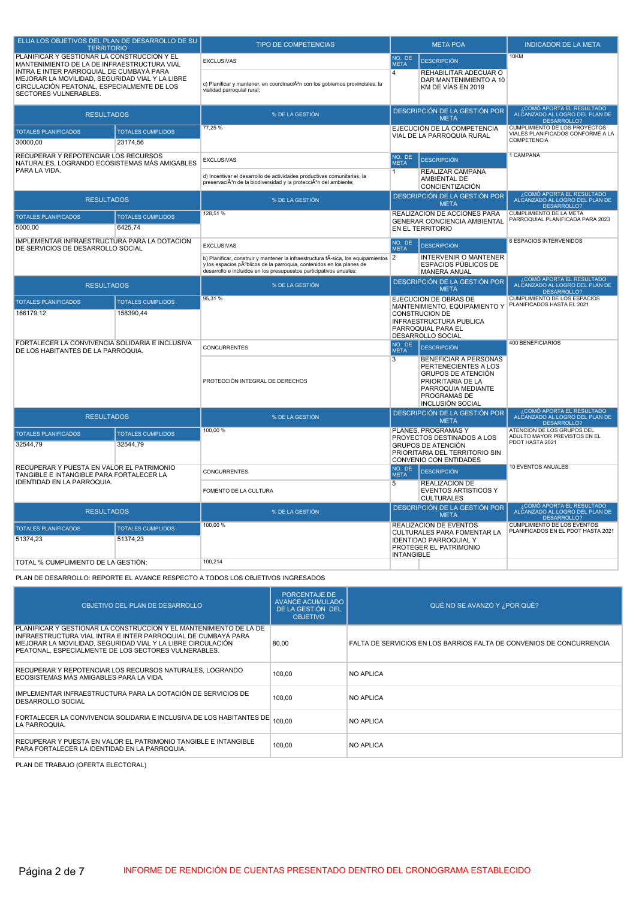| ELIJA LOS OBJETIVOS DEL PLAN DE DESARROLLO DE SU<br><b>TERRITORIO</b>                                                                                              |                                      | <b>TIPO DE COMPETENCIAS</b>                                                                                                                                                                                                     |                                                                                                     | <b>META POA</b>                                                                                                                                                         | <b>INDICADOR DE LA META</b>                                                              |
|--------------------------------------------------------------------------------------------------------------------------------------------------------------------|--------------------------------------|---------------------------------------------------------------------------------------------------------------------------------------------------------------------------------------------------------------------------------|-----------------------------------------------------------------------------------------------------|-------------------------------------------------------------------------------------------------------------------------------------------------------------------------|------------------------------------------------------------------------------------------|
| PLANIFICAR Y GESTIONAR LA CONSTRUCCIÓN Y EL<br>MANTENIMIENTO DE LA DE INFRAESTRUCTURA VIAL                                                                         |                                      | <b>EXCLUSIVAS</b>                                                                                                                                                                                                               | NO. DE<br><b>META</b>                                                                               | <b>DESCRIPCIÓN</b>                                                                                                                                                      | 10KM                                                                                     |
| INTRA E INTER PARROQUIAL DE CUMBAYÁ PARA<br>MEJORAR LA MOVILIDAD, SEGURIDAD VIAL Y LA LIBRE<br>CIRCULACIÓN PEATONAL, ESPECIALMENTE DE LOS<br>SECTORES VULNERABLES. |                                      | c) Planificar y mantener, en coordinaciÃ <sup>3</sup> n con los gobiernos provinciales, la<br>vialidad parroquial rural;                                                                                                        | $\overline{4}$                                                                                      | REHABILITAR ADECUAR O<br>DAR MANTENIMIENTO A 10<br>KM DE VIAS EN 2019                                                                                                   |                                                                                          |
| <b>RESULTADOS</b>                                                                                                                                                  |                                      | % DE LA GESTIÓN                                                                                                                                                                                                                 |                                                                                                     | DESCRIPCIÓN DE LA GESTIÓN POR<br><b>META</b>                                                                                                                            | COMÓ APORTA EL RESULTADO،<br>ALCANZADO AL LOGRO DEL PLAN DE<br>DESARROLLO?               |
| <b>TOTALES PLANIFICADOS</b><br>30000,00                                                                                                                            | <b>TOTALES CUMPLIDOS</b><br>23174,56 | 77,25 %                                                                                                                                                                                                                         |                                                                                                     | EJECUCIÓN DE LA COMPETENCIA<br>VIAL DE LA PARROQUIA RURAL                                                                                                               | <b>CUMPLIMIENTO DE LOS PROYECTOS</b><br>VIALES PLANIFICADOS CONFORME A LA<br>COMPETENCIA |
| RECUPERAR Y REPOTENCIAR LOS RECURSOS<br>NATURALES, LOGRANDO ECOSISTEMAS MÁS AMIGABLES                                                                              |                                      | <b>EXCLUSIVAS</b>                                                                                                                                                                                                               | NO. DE<br><b>META</b>                                                                               | <b>DESCRIPCIÓN</b>                                                                                                                                                      | 1 CAMPANA                                                                                |
| PARA LA VIDA.                                                                                                                                                      |                                      | d) Incentivar el desarrollo de actividades productivas comunitarias, la<br>preservaciÃ <sup>3</sup> n de la biodiversidad y la protecciÃ <sup>3</sup> n del ambiente;                                                           | $\mathbf{1}$                                                                                        | REALIZAR CAMPAÑA<br>AMBIENTAL DE<br><b>CONCIENTIZACIÓN</b>                                                                                                              |                                                                                          |
| <b>RESULTADOS</b>                                                                                                                                                  |                                      | % DE LA GESTIÓN                                                                                                                                                                                                                 |                                                                                                     | DESCRIPCIÓN DE LA GESTIÓN POR<br><b>META</b>                                                                                                                            | COMÓ APORTA EL RESULTADO<br>ALCANZADO AL LOGRO DEL PLAN DE<br><b>DESARROLLO?</b>         |
| <b>TOTALES PLANIFICADOS</b>                                                                                                                                        | <b>TOTALES CUMPLIDOS</b>             | 128,51 %                                                                                                                                                                                                                        |                                                                                                     | REALIZACION DE ACCIONES PARA<br>GENERAR CONCIENCIA AMBIENTAL                                                                                                            | CUMPLIMIENTO DE LA META<br>PARROQUIAL PLANIFICADA PARA 2023                              |
| 5000.00                                                                                                                                                            | 6425.74                              |                                                                                                                                                                                                                                 |                                                                                                     | EN EL TERRITORIO                                                                                                                                                        |                                                                                          |
| IMPLEMENTAR INFRAESTRUCTURA PARA LA DOTACIÓN<br>DE SERVICIOS DE DESARROLLO SOCIAL                                                                                  |                                      | <b>EXCLUSIVAS</b>                                                                                                                                                                                                               | NO. DE<br><b>META</b>                                                                               | <b>DESCRIPCIÓN</b>                                                                                                                                                      | 6 ESPACIOS INTERVENIDOS                                                                  |
|                                                                                                                                                                    |                                      | b) Planificar, construir y mantener la infraestructura fÃ-sica, los equipamientos<br>y los espacios pºblicos de la parroquia, contenidos en los planes de<br>desarrollo e incluidos en los presupuestos participativos anuales; | $\overline{2}$                                                                                      | <b>INTERVENIR O MANTENER</b><br>ESPACIOS PÚBLICOS DE<br><b>MANERA ANUAL</b>                                                                                             |                                                                                          |
| <b>RESULTADOS</b>                                                                                                                                                  |                                      | % DE LA GESTIÓN                                                                                                                                                                                                                 | DESCRIPCIÓN DE LA GESTIÓN POR<br><b>META</b>                                                        |                                                                                                                                                                         | . COMÓ APORTA EL RESULTADO<br>ALCANZADO AL LOGRO DEL PLAN DE<br>DESARROLLO?              |
| <b>TOTALES CUMPLIDOS</b><br><b>TOTALES PLANIFICADOS</b><br>166179.12<br>158390,44                                                                                  |                                      | 95,31 %                                                                                                                                                                                                                         | EJECUCION DE OBRAS DE<br>MANTENIMIENTO, EQUIPAMIENTO Y<br>CONSTRUCION DE<br>INFRAESTRUCTURA PUBLICA |                                                                                                                                                                         | CUMPLIMIENTO DE LOS ESPACIOS<br>PLANIFICADOS HASTA EL 2021                               |
|                                                                                                                                                                    |                                      |                                                                                                                                                                                                                                 |                                                                                                     | PARROQUIAL PARA EL<br>DESARROLLO SOCIAL                                                                                                                                 |                                                                                          |
| FORTALECER LA CONVIVENCIA SOLIDARIA E INCLUSIVA<br>DE LOS HABITANTES DE LA PARROQUIA.                                                                              |                                      | <b>CONCURRENTES</b>                                                                                                                                                                                                             | NO. DE<br><b>META</b>                                                                               | <b>DESCRIPCIÓN</b>                                                                                                                                                      | 400 BENEFICIARIOS                                                                        |
|                                                                                                                                                                    |                                      | PROTECCIÓN INTEGRAL DE DERECHOS                                                                                                                                                                                                 | $\overline{3}$                                                                                      | <b>BENEFICIAR A PERSONAS</b><br>PERTENECIENTES A LOS<br><b>GRUPOS DE ATENCIÓN</b><br>PRIORITARIA DE LA<br>PARROQUIA MEDIANTE<br>PROGRAMAS DE<br><b>INCLUSIÓN SOCIAL</b> |                                                                                          |
| <b>RESULTADOS</b>                                                                                                                                                  |                                      | % DE LA GESTIÓN                                                                                                                                                                                                                 | DESCRIPCIÓN DE LA GESTIÓN POR<br><b>META</b>                                                        |                                                                                                                                                                         | ¿COMÓ APORTA EL RESULTADO<br>ALCANZADO AL LOGRO DEL PLAN DE<br><b>DESARROLLO?</b>        |
| <b>TOTALES PLANIFICADOS</b><br><b>TOTALES CUMPLIDOS</b><br>32544,79<br>32544,79                                                                                    |                                      | 100,00 %                                                                                                                                                                                                                        |                                                                                                     | PLANES, PROGRAMAS Y<br>PROYECTOS DESTINADOS A LOS<br><b>GRUPOS DE ATENCIÓN</b><br>PRIORITARIA DEL TERRITORIO SIN<br><b>CONVENIO CON ENTIDADES</b>                       | ATENCIÓN DE LOS GRUPOS DEL<br>ADULTO MAYOR PREVISTOS EN EL<br>PDOT HASTA 2021            |
| RECUPERAR Y PUESTA EN VALOR EL PATRIMONIO<br>TANGIBLE E INTANGIBLE PARA FORTALECER LA                                                                              |                                      | <b>CONCURRENTES</b>                                                                                                                                                                                                             | NO. DE<br><b>META</b>                                                                               | <b>DESCRIPCIÓN</b>                                                                                                                                                      | 10 EVENTOS ANUALES                                                                       |
| IDENTIDAD EN LA PARROQUIA.                                                                                                                                         |                                      | FOMENTO DE LA CULTURA                                                                                                                                                                                                           | 5                                                                                                   | <b>REALIZACION DE</b><br><b>EVENTOS ARTISTICOS Y</b><br><b>CULTURALES</b>                                                                                               |                                                                                          |
| <b>RESULTADOS</b>                                                                                                                                                  |                                      | % DE LA GESTIÓN                                                                                                                                                                                                                 |                                                                                                     | DESCRIPCIÓN DE LA GESTIÓN POR<br><b>META</b>                                                                                                                            | COMÓ APORTA EL RESULTADO،<br>ALCANZADO AL LOGRO DEL PLAN DE<br>DESARROLLO?               |
| <b>TOTALES PLANIFICADOS</b><br>51374,23                                                                                                                            | <b>TOTALES CUMPLIDOS</b><br>51374,23 | 100.00 %                                                                                                                                                                                                                        |                                                                                                     | REALIZACION DE EVENTOS<br>CULTURALES PARA FOMENTAR LA<br><b>IDENTIDAD PARROQUIAL Y</b><br>PROTEGER EL PATRIMONIO                                                        | <b>CUMPLIMIENTO DE LOS EVENTOS</b><br>PLANIFICADOS EN EL PDOT HASTA 2021                 |
| TOTAL % CUMPLIMIENTO DE LA GESTIÓN:                                                                                                                                |                                      | 100,214                                                                                                                                                                                                                         | <b>INTANGIBLE</b>                                                                                   |                                                                                                                                                                         |                                                                                          |

PLAN DE DESARROLLO: REPORTE EL AVANCE RESPECTO A TODOS LOS OBJETIVOS INGRESADOS

| OBJETIVO DEL PLAN DE DESARROLLO                                                                                                                                                                                                                            | <b>PORCENTAJE DE</b><br><b>AVANCE ACUMULADO</b><br>DE LA GESTIÓN DEL<br><b>OBJETIVO</b> | QUÉ NO SE AVANZÓ Y ¿POR QUÉ?                                         |
|------------------------------------------------------------------------------------------------------------------------------------------------------------------------------------------------------------------------------------------------------------|-----------------------------------------------------------------------------------------|----------------------------------------------------------------------|
| PLANIFICAR Y GESTIONAR LA CONSTRUCCIÓN Y EL MANTENIMIENTO DE LA DE<br>INFRAESTRUCTURA VIAL INTRA E INTER PARROQUIAL DE CUMBAYÁ PARA<br>MEJORAR LA MOVILIDAD, SEGURIDAD VIAL Y LA LIBRE CIRCULACIÓN<br>PEATONAL. ESPECIALMENTE DE LOS SECTORES VULNERABLES. | 80.00                                                                                   | FALTA DE SERVICIOS EN LOS BARRIOS FALTA DE CONVENIOS DE CONCURRENCIA |
| RECUPERAR Y REPOTENCIAR LOS RECURSOS NATURALES, LOGRANDO<br>ECOSISTEMAS MÁS AMIGABLES PARA LA VIDA.                                                                                                                                                        | 100,00                                                                                  | <b>NO APLICA</b>                                                     |
| IMPLEMENTAR INFRAESTRUCTURA PARA LA DOTACIÓN DE SERVICIOS DE<br>DESARROLLO SOCIAL                                                                                                                                                                          | 100.00                                                                                  | NO APLICA                                                            |
| FORTALECER LA CONVIVENCIA SOLIDARIA E INCLUSIVA DE LOS HABITANTES DE $\left  \right._{100,00}$<br>LA PARROQUIA.                                                                                                                                            |                                                                                         | NO APLICA                                                            |
| RECUPERAR Y PUESTA EN VALOR EL PATRIMONIO TANGIBLE E INTANGIBLE<br>PARA FORTALECER LA IDENTIDAD EN LA PARROQUIA.                                                                                                                                           | 100,00                                                                                  | NO APLICA                                                            |

PLAN DE TRABAJO (OFERTA ELECTORAL)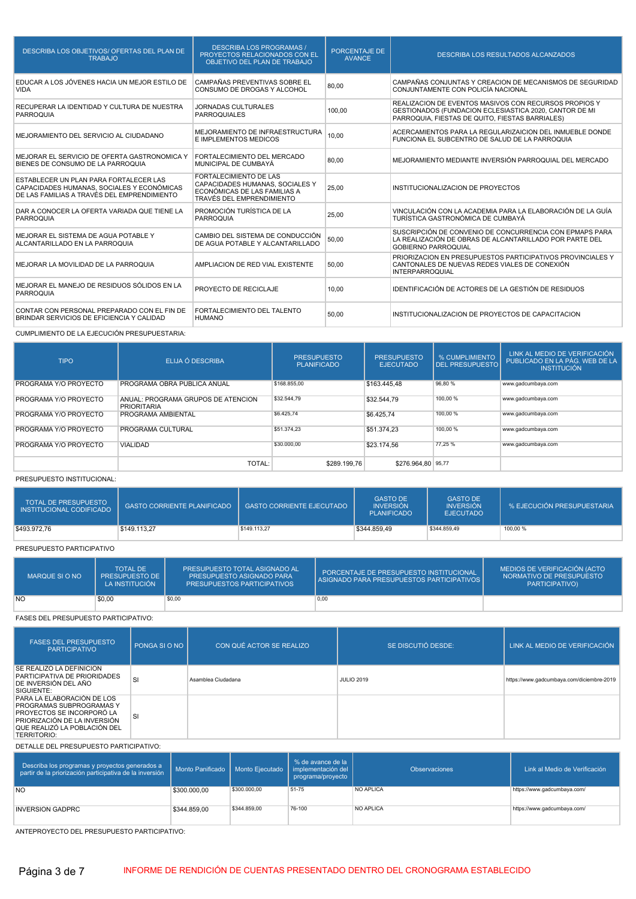| DESCRIBA LOS OBJETIVOS/ OFERTAS DEL PLAN DE<br><b>TRABAJO</b>                                                                       | <b>DESCRIBA LOS PROGRAMAS /</b><br>PROYECTOS RELACIONADOS CON EL<br>OBJETIVO DEL PLAN DE TRABAJO                              | PORCENTAJE DE<br><b>AVANCE</b> | <b>DESCRIBA LOS RESULTADOS ALCANZADOS</b>                                                                                                                          |
|-------------------------------------------------------------------------------------------------------------------------------------|-------------------------------------------------------------------------------------------------------------------------------|--------------------------------|--------------------------------------------------------------------------------------------------------------------------------------------------------------------|
| EDUCAR A LOS JÓVENES HACIA UN MEJOR ESTILO DE<br><b>VIDA</b>                                                                        | CAMPAÑAS PREVENTIVAS SOBRE EL<br>CONSUMO DE DROGAS Y ALCOHOL                                                                  | 80.00                          | CAMPAÑAS CONJUNTAS Y CREACION DE MECANISMOS DE SEGURIDAD<br>CONJUNTAMENTE CON POLICÍA NACIONAL                                                                     |
| RECUPERAR LA IDENTIDAD Y CULTURA DE NUESTRA<br><b>PARROQUIA</b>                                                                     | <b>JORNADAS CULTURALES</b><br><b>PARROQUIALES</b>                                                                             | 100.00                         | REALIZACION DE EVENTOS MASIVOS CON RECURSOS PROPIOS Y<br>GESTIONADOS (FUNDACION ECLESIASTICA 2020, CANTOR DE MI<br>PARROQUIA, FIESTAS DE QUITO, FIESTAS BARRIALES) |
| MEJORAMIENTO DEL SERVICIO AL CIUDADANO                                                                                              | MEJORAMIENTO DE INFRAESTRUCTURA<br>E IMPLEMENTOS MEDICOS                                                                      | 10.00                          | ACERCAMIENTOS PARA LA REGULARIZAICION DEL INMUEBLE DONDE<br>FUNCIONA EL SUBCENTRO DE SALUD DE LA PARROQUIA                                                         |
| MEJORAR EL SERVICIO DE OFERTA GASTRONOMICA Y<br>BIENES DE CONSUMO DE LA PARROQUIA                                                   | FORTALECIMIENTO DEL MERCADO<br>MUNICIPAL DE CUMBAYÁ                                                                           | 80.00                          | MEJORAMIENTO MEDIANTE INVERSIÓN PARROQUIAL DEL MERCADO                                                                                                             |
| ESTABLECER UN PLAN PARA FORTALECER LAS<br>CAPACIDADES HUMANAS, SOCIALES Y ECONÓMICAS<br>DE LAS FAMILIAS A TRAVÉS DEL EMPRENDIMIENTO | <b>FORTALECIMIENTO DE LAS</b><br>CAPACIDADES HUMANAS, SOCIALES Y<br>ECONÓMICAS DE LAS FAMILIAS A<br>TRAVÉS DEL EMPRENDIMIENTO | 25.00                          | INSTITUCIONALIZACION DE PROYECTOS                                                                                                                                  |
| DAR A CONOCER LA OFERTA VARIADA QUE TIENE LA<br><b>PARROQUIA</b>                                                                    | PROMOCIÓN TURÍSTICA DE LA<br><b>PARROQUIA</b>                                                                                 | 25,00                          | VINCULACIÓN CON LA ACADEMIA PARA LA ELABORACIÓN DE LA GUÍA<br>TURÍSTICA GASTRONÓMICA DE CUMBAYÁ                                                                    |
| MEJORAR EL SISTEMA DE AGUA POTABLE Y<br>ALCANTARILLADO EN LA PARROQUIA                                                              | CAMBIO DEL SISTEMA DE CONDUCCIÓN<br>DE AGUA POTABLE Y ALCANTARILLADO                                                          | 50,00                          | SUSCRIPCIÓN DE CONVENIO DE CONCURRENCIA CON EPMAPS PARA<br>LA REALIZACIÓN DE OBRAS DE ALCANTARILLADO POR PARTE DEL<br><b>GOBIERNO PARROQUIAL</b>                   |
| MEJORAR LA MOVILIDAD DE LA PARROQUIA                                                                                                | AMPLIACION DE RED VIAL EXISTENTE                                                                                              | 50.00                          | PRIORIZACION EN PRESUPUESTOS PARTICIPATIVOS PROVINCIALES Y<br>CANTONALES DE NUEVAS REDES VIALES DE CONEXIÓN<br><b>INTERPARROQUIAL</b>                              |
| MEJORAR EL MANEJO DE RESIDUOS SÓLIDOS EN LA<br><b>PARROQUIA</b>                                                                     | PROYECTO DE RECICLAJE                                                                                                         | 10.00                          | IDENTIFICACIÓN DE ACTORES DE LA GESTIÓN DE RESIDUOS                                                                                                                |
| CONTAR CON PERSONAL PREPARADO CON EL FIN DE<br>BRINDAR SERVICIOS DE EFICIENCIA Y CALIDAD                                            | FORTALECIMIENTO DEL TALENTO<br><b>HUMANO</b>                                                                                  | 50.00                          | INSTITUCIONALIZACION DE PROYECTOS DE CAPACITACION                                                                                                                  |

### CUMPLIMIENTO DE LA EJECUCIÓN PRESUPUESTARIA:

| <b>TIPO</b>           | ELIJA Ó DESCRIBA                                         | <b>PRESUPUESTO</b><br><b>PLANIFICADO</b> | <b>PRESUPUESTO</b><br><b>EJECUTADO</b> | % CUMPLIMIENTO<br><b>DEL PRESUPUESTO</b> | LINK AL MEDIO DE VERIFICACIÓN<br>PUBLICADO EN LA PÁG. WEB DE LA<br><b>INSTITUCIÓN</b> |
|-----------------------|----------------------------------------------------------|------------------------------------------|----------------------------------------|------------------------------------------|---------------------------------------------------------------------------------------|
| PROGRAMA Y/O PROYECTO | <b>PROGRAMA OBRA PUBLICA ANUAL</b>                       | \$168,855.00                             | \$163,445,48                           | 96.80 %                                  | www.gadcumbaya.com                                                                    |
| PROGRAMA Y/O PROYECTO | ANUAL: PROGRAMA GRUPOS DE ATENCION<br><b>PRIORITARIA</b> | \$32,544.79                              | \$32,544.79                            | 100.00 %                                 | www.gadcumbaya.com                                                                    |
| PROGRAMA Y/O PROYECTO | <b>PROGRAMA AMBIENTAL</b>                                | \$6,425.74                               | \$6,425.74                             | 100.00 %                                 | www.gadcumbaya.com                                                                    |
| PROGRAMA Y/O PROYECTO | PROGRAMA CULTURAL                                        | \$51,374.23                              | \$51,374.23                            | 100.00 %                                 | www.gadcumbaya.com                                                                    |
| PROGRAMA Y/O PROYECTO | <b>VIALIDAD</b>                                          | \$30,000.00                              | \$23.174.56                            | 77,25 %                                  | www.gadcumbaya.com                                                                    |
|                       | TOTAL:                                                   | \$289,199.76                             | \$276,964,80 95,77                     |                                          |                                                                                       |

#### PRESUPUESTO INSTITUCIONAL:

| <b>TOTAL DE PRESUPUESTO</b><br><b>INSTITUCIONAL CODIFICADO</b> | <b>GASTO CORRIENTE PLANIFICADO</b> | <b>GASTO CORRIENTE EJECUTADO</b> | <b>GASTO DE</b><br><b>INVERSIÓN</b><br><b>PLANIFICADO</b> | <b>GASTO DE</b><br><b>INVERSIÓN</b><br><b>EJECUTADO</b> | % EJECUCIÓN PRESUPUESTARIA |
|----------------------------------------------------------------|------------------------------------|----------------------------------|-----------------------------------------------------------|---------------------------------------------------------|----------------------------|
| \$493,972.76                                                   | \$149.113.27                       | \$149,113.27                     | \$344,859.49                                              | \$344,859.49                                            | 100,00 %                   |

### PRESUPUESTO PARTICIPATIVO

| MARQUE SI O NO | <b>TOTAL DE</b><br><b>PRESUPUESTO DE</b><br>LA INSTITUCIÓN | PRESUPUESTO TOTAL ASIGNADO AL<br><b>PRESUPUESTO ASIGNADO PARA</b><br><b>PRESUPUESTOS PARTICIPATIVOS</b> | PORCENTAJE DE PRESUPUESTO INSTITUCIONAL<br>ASIGNADO PARA PRESUPUESTOS PARTICIPATIVOS I | MEDIOS DE VERIFICACIÓN (ACTO<br>NORMATIVO DE PRESUPUESTO '<br><b>PARTICIPATIVO)</b> |
|----------------|------------------------------------------------------------|---------------------------------------------------------------------------------------------------------|----------------------------------------------------------------------------------------|-------------------------------------------------------------------------------------|
| <b>NO</b>      | \$0.00                                                     | \$0,00                                                                                                  | 0,00                                                                                   |                                                                                     |

### FASES DEL PRESUPUESTO PARTICIPATIVO:

| <b>FASES DEL PRESUPUESTO</b><br><b>PARTICIPATIVO</b>                                                                                                                      | PONGA SI O NO | CON QUÉ ACTOR SE REALIZO | SE DISCUTIÓ DESDE: | LINK AL MEDIO DE VERIFICACIÓN             |
|---------------------------------------------------------------------------------------------------------------------------------------------------------------------------|---------------|--------------------------|--------------------|-------------------------------------------|
| SE REALIZÓ LA DEFINICIÓN<br>PARTICIPATIVA DE PRIORIDADES<br>DE INVERSIÓN DEL AÑO<br>SIGUIENTE:                                                                            | <b>SI</b>     | Asamblea Ciudadana       | <b>JULIO 2019</b>  | https://www.gadcumbaya.com/diciembre-2019 |
| PARA LA ELABORACIÓN DE LOS<br>PROGRAMAS SUBPROGRAMAS Y<br>PROYECTOS SE INCORPORÓ LA<br>PRIORIZACIÓN DE LA INVERSIÓN<br>QUE REALIZÓ LA POBLACIÓN DEL<br><b>TERRITORIO:</b> | <b>SI</b>     |                          |                    |                                           |

DETALLE DEL PRESUPUESTO PARTICIPATIVO:

| Describa los programas y proyectos generados a<br>partir de la priorización participativa de la inversión |              |              | % de avance de la<br>Monto Panificado   Monto Ejecutado   implementación del  <br>programa/proyecto | <b>Observaciones</b> | Link al Medio de Verificación |
|-----------------------------------------------------------------------------------------------------------|--------------|--------------|-----------------------------------------------------------------------------------------------------|----------------------|-------------------------------|
| <b>NO</b>                                                                                                 | \$300.000,00 | \$300,000.00 | 51-75                                                                                               | NO APLICA            | https://www.gadcumbaya.com/   |
| <b>INVERSION GADPRC</b>                                                                                   | \$344,859.00 | \$344,859.00 | 76-100                                                                                              | NO APLICA            | https://www.gadcumbaya.com/   |

ANTEPROYECTO DEL PRESUPUESTO PARTICIPATIVO: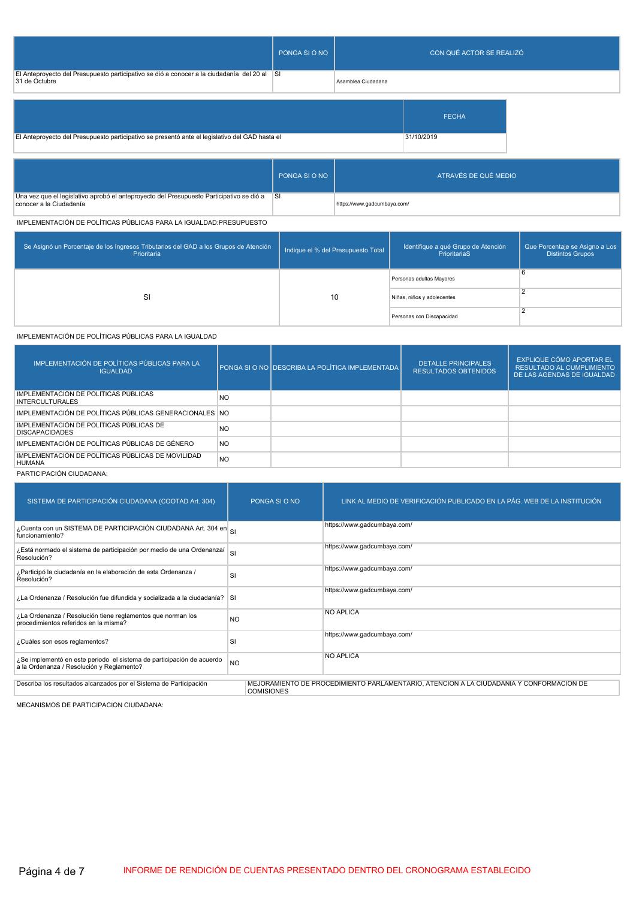|                                                                                                              | PONGA SI O NO |                    | CON QUÉ ACTOR SE REALIZÓ |  |
|--------------------------------------------------------------------------------------------------------------|---------------|--------------------|--------------------------|--|
| El Anteproyecto del Presupuesto participativo se dió a conocer a la ciudadanía del 20 al SI<br>31 de Octubre |               | Asamblea Ciudadana |                          |  |
|                                                                                                              |               |                    | <b>FECHA</b>             |  |
| El Anteproyecto del Presupuesto participativo se presentó ante el legislativo del GAD hasta el               |               |                    | 31/10/2019               |  |

|                                                                                                                        | PONGA SI O NO | ATRAVÉS DE QUÉ MEDIO        |
|------------------------------------------------------------------------------------------------------------------------|---------------|-----------------------------|
| Una vez que el legislativo aprobó el anteproyecto del Presupuesto Participativo se dió a SI<br>conocer a la Ciudadanía |               | https://www.gadcumbaya.com/ |

IMPLEMENTACIÓN DE POLÍTICAS PÚBLICAS PARA LA IGUALDAD:PRESUPUESTO

| Se Asignó un Porcentaje de los Ingresos Tributarios del GAD a los Grupos de Atención<br>Prioritaria | Indique el % del Presupuesto Total | dentifique a qué Grupo de Atención<br>PrioritariaS | Que Porcentaje se Asigno a Los<br><b>Distintos Grupos</b> |
|-----------------------------------------------------------------------------------------------------|------------------------------------|----------------------------------------------------|-----------------------------------------------------------|
|                                                                                                     |                                    | Personas adultas Mayores                           | 6                                                         |
| SI                                                                                                  | 10                                 | Niñas, niños y adolecentes                         |                                                           |
|                                                                                                     |                                    | Personas con Discapacidad                          |                                                           |

IMPLEMENTACIÓN DE POLÍTICAS PÚBLICAS PARA LA IGUALDAD

| IMPLEMENTACIÓN DE POLÍTICAS PÚBLICAS PARA LA<br><b>IGUALDAD</b>    |           | PONGA SI O NO DESCRIBA LA POLÍTICA IMPLEMENTADA I | <b>DETALLE PRINCIPALES</b><br>RESULTADOS OBTENIDOS | EXPLIQUE CÓMO APORTAR EL<br><b>RESULTADO AL CUMPLIMIENTO</b><br>DE LAS AGENDAS DE IGUALDAD |
|--------------------------------------------------------------------|-----------|---------------------------------------------------|----------------------------------------------------|--------------------------------------------------------------------------------------------|
| IMPLEMENTACIÓN DE POLÍTICAS PÚBLICAS<br><b>INTERCULTURALES</b>     | NO.       |                                                   |                                                    |                                                                                            |
| IMPLEMENTACIÓN DE POLÍTICAS PÚBLICAS GENERACIONALES NO             |           |                                                   |                                                    |                                                                                            |
| IMPLEMENTACIÓN DE POLÍTICAS PÚBLICAS DE<br><b>DISCAPACIDADES</b>   | <b>NO</b> |                                                   |                                                    |                                                                                            |
| IMPLEMENTACIÓN DE POLÍTICAS PÚBLICAS DE GÉNERO                     | <b>NO</b> |                                                   |                                                    |                                                                                            |
| IMPLEMENTACIÓN DE POLÍTICAS PÚBLICAS DE MOVILIDAD<br><b>HUMANA</b> | <b>NO</b> |                                                   |                                                    |                                                                                            |

### PARTICIPACIÓN CIUDADANA:

| SISTEMA DE PARTICIPACIÓN CIUDADANA (COOTAD Art. 304)                                                               |                         | PONGA SI O NO     | LINK AL MEDIO DE VERIFICACIÓN PUBLICADO EN LA PÁG. WEB DE LA INSTITUCIÓN                |
|--------------------------------------------------------------------------------------------------------------------|-------------------------|-------------------|-----------------------------------------------------------------------------------------|
| ¿Cuenta con un SISTEMA DE PARTICIPACIÓN CIUDADANA Art. 304 en el<br>funcionamiento?                                |                         |                   | https://www.gadcumbaya.com/                                                             |
| ¿Está normado el sistema de participación por medio de una Ordenanza/<br>Resolución?                               | $\overline{\mathbf{s}}$ |                   | https://www.gadcumbaya.com/                                                             |
| ¿Participó la ciudadanía en la elaboración de esta Ordenanza /<br>Resolución?                                      | SI                      |                   | https://www.gadcumbaya.com/                                                             |
| ¿La Ordenanza / Resolución fue difundida y socializada a la ciudadanía? SI                                         |                         |                   | https://www.gadcumbaya.com/                                                             |
| ¿La Ordenanza / Resolución tiene reglamentos que norman los<br>procedimientos referidos en la misma?               | N <sub>O</sub>          |                   | <b>NO APLICA</b>                                                                        |
| ¿Cuáles son esos reglamentos?                                                                                      | SI                      |                   | https://www.gadcumbaya.com/                                                             |
| ¿Se implementó en este periodo el sistema de participación de acuerdo<br>a la Ordenanza / Resolución y Reglamento? | N <sub>O</sub>          |                   | <b>NO APLICA</b>                                                                        |
| Describa los resultados alcanzados por el Sistema de Participación                                                 |                         | <b>COMISIONES</b> | MEJORAMIENTO DE PROCEDIMIENTO PARLAMENTARIO, ATENCION A LA CIUDADANIA Y CONFORMACION DE |

MECANISMOS DE PARTICIPACION CIUDADANA: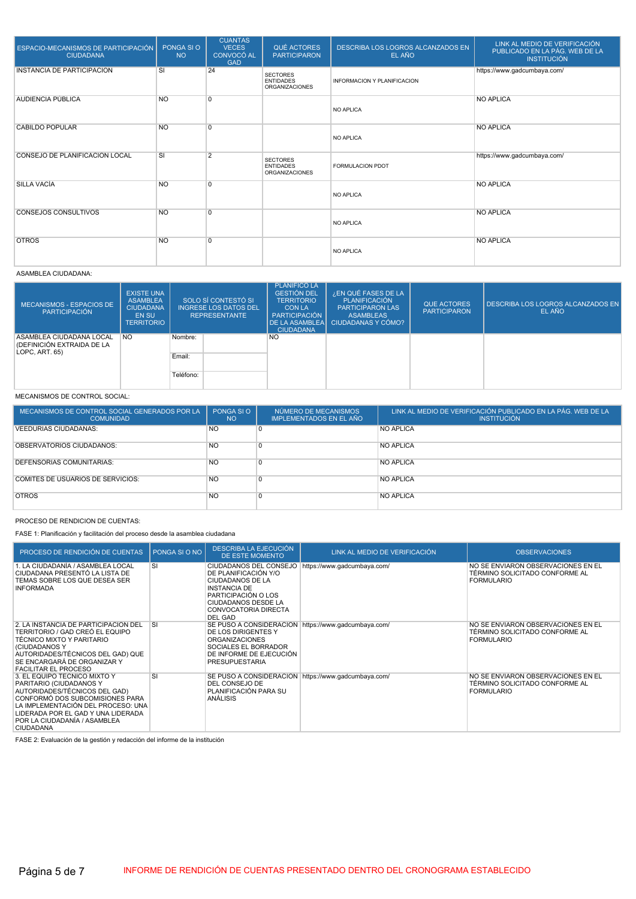| ESPACIO-MECANISMOS DE PARTICIPACIÓN<br><b>CIUDADANA</b> | PONGA SI O<br><b>NO</b> | <b>CUANTAS</b><br><b>VECES</b><br>CONVOCÓ AL<br><b>GAD</b> | QUÉ ACTORES<br><b>PARTICIPARON</b>                           | DESCRIBA LOS LOGROS ALCANZADOS EN<br>EL AÑO | LINK AL MEDIO DE VERIFICACIÓN<br>PUBLICADO EN LA PÁG. WEB DE LA<br><b>INSTITUCIÓN</b> |
|---------------------------------------------------------|-------------------------|------------------------------------------------------------|--------------------------------------------------------------|---------------------------------------------|---------------------------------------------------------------------------------------|
| INSTANCIA DE PARTICIPACIÓN                              | SI                      | 24                                                         | <b>SECTORES</b><br><b>ENTIDADES</b><br><b>ORGANIZACIONES</b> | <b>INFORMACION Y PLANIFICACION</b>          | https://www.gadcumbaya.com/                                                           |
| <b>AUDIENCIA PÚBLICA</b>                                | <b>NO</b>               | $\overline{0}$                                             |                                                              | NO APLICA                                   | <b>NO APLICA</b>                                                                      |
| CABILDO POPULAR                                         | <b>NO</b>               | $\overline{0}$                                             |                                                              | NO APLICA                                   | <b>NO APLICA</b>                                                                      |
| CONSEJO DE PLANIFICACIÓN LOCAL                          | SI                      | $\overline{2}$                                             | <b>SECTORES</b><br><b>ENTIDADES</b><br><b>ORGANIZACIONES</b> | FORMULACION PDOT                            | https://www.gadcumbaya.com/                                                           |
| <b>SILLA VACIA</b>                                      | <b>NO</b>               | $\overline{0}$                                             |                                                              | NO APLICA                                   | <b>NO APLICA</b>                                                                      |
| <b>CONSEJOS CONSULTIVOS</b>                             | <b>NO</b>               | $\Omega$                                                   |                                                              | NO APLICA                                   | <b>NO APLICA</b>                                                                      |
| <b>OTROS</b>                                            | <b>NO</b>               | 0                                                          |                                                              | NO APLICA                                   | <b>NO APLICA</b>                                                                      |

ASAMBLEA CIUDADANA:

| MECANISMOS - ESPACIOS DE<br><b>PARTICIPACIÓN</b>                         | <b>EXISTE UNA</b><br><b>ASAMBLEA</b><br><b>CIUDADANA</b><br><b>EN SU</b><br><b>TERRITORIO</b> | SOLO SÍ CONTESTÓ SI<br><b>INGRESE LOS DATOS DEL</b><br><b>REPRESENTANTE</b> | <b>PLANIFICO LA</b><br><b>GESTIÓN DEL</b><br><b>TERRITORIO</b><br><b>CON LA</b><br>PARTICIPACIÓN<br><b>DE LA ASAMBLEAI</b><br><b>CIUDADANA</b> | ¿EN QUÉ FASES DE LA<br><b>PLANIFICACIÓN</b><br><b>PARTICIPARON LAS</b><br><b>ASAMBLEAS</b><br>CIUDADANAS Y CÓMO? | <b>QUE ACTORES</b><br><b>PARTICIPARON</b> | DESCRIBA LOS LOGROS ALCANZADOS EN<br>EL AÑO |
|--------------------------------------------------------------------------|-----------------------------------------------------------------------------------------------|-----------------------------------------------------------------------------|------------------------------------------------------------------------------------------------------------------------------------------------|------------------------------------------------------------------------------------------------------------------|-------------------------------------------|---------------------------------------------|
| ASAMBLEA CIUDADANA LOCAL<br>(DEFINICIÓN EXTRAIDA DE LA<br>LOPC, ART. 65) | <b>NO</b>                                                                                     | Nombre:<br>Email:<br>Teléfono:                                              | <b>NO</b>                                                                                                                                      |                                                                                                                  |                                           |                                             |

### MECANISMOS DE CONTROL SOCIAL:

| MECANISMOS DE CONTROL SOCIAL GENERADOS POR LA<br><b>COMUNIDAD</b> | PONGA SIO<br>NO. | NÚMERO DE MECANISMOS<br>IMPLEMENTADOS EN EL AÑO | LINK AL MEDIO DE VERIFICACIÓN PUBLICADO EN LA PÁG. WEB DE LA<br><b>INSTITUCIÓN</b> |
|-------------------------------------------------------------------|------------------|-------------------------------------------------|------------------------------------------------------------------------------------|
| <b>VEEDURIAS CIUDADANAS:</b>                                      | <b>NO</b>        | 0                                               | <b>NO APLICA</b>                                                                   |
| OBSERVATORIOS CIUDADANOS:                                         | <b>NO</b>        | 0                                               | NO APLICA                                                                          |
| DEFENSORIAS COMUNITARIAS:                                         | <b>NO</b>        | 0                                               | <b>NO APLICA</b>                                                                   |
| <b>COMITÉS DE USUARIOS DE SERVICIOS:</b>                          | N <sub>O</sub>   | $\overline{0}$                                  | <b>NO APLICA</b>                                                                   |
| <b>OTROS</b>                                                      | <b>NO</b>        | $\Omega$                                        | <b>NO APLICA</b>                                                                   |

PROCESO DE RENDICION DE CUENTAS:

FASE 1: Planificación y facilitación del proceso desde la asamblea ciudadana

| PROCESO DE RENDICIÓN DE CUENTAS                                                                                                                                                                                                                             | PONGA SI O NO | DESCRIBA LA EJECUCIÓN<br><b>DE ESTE MOMENTO</b>                                                                                                                                                        | LINK AL MEDIO DE VERIFICACIÓN | <b>OBSERVACIONES</b>                                                                      |
|-------------------------------------------------------------------------------------------------------------------------------------------------------------------------------------------------------------------------------------------------------------|---------------|--------------------------------------------------------------------------------------------------------------------------------------------------------------------------------------------------------|-------------------------------|-------------------------------------------------------------------------------------------|
| 1. LA CIUDADANÍA / ASAMBLEA LOCAL<br>CIUDADANA PRESENTÓ LA LISTA DE<br>TEMAS SOBRE LOS QUE DESEA SER<br><b>INFORMADA</b>                                                                                                                                    | SI            | CIUDADANOS DEL CONSEJO<br>DE PLANIFICACIÓN Y/O<br><b>CIUDADANOS DE LA</b><br><b>INSTANCIA DE</b><br>PARTICIPACIÓN O LOS<br><b>CIUDADANOS DESDE LA</b><br><b>CONVOCATORIA DIRECTA</b><br><b>DEL GAD</b> | https://www.gadcumbaya.com/   | NO SE ENVIARON OBSERVACIONES EN EL<br>TÉRMINO SOLICITADO CONFORME AL<br><b>FORMULARIO</b> |
| 2. LA INSTANCIA DE PARTICIPACIÓN DEL<br>TERRITORIO / GAD CREÓ EL EQUIPO<br>TÉCNICO MIXTO Y PARITARIO<br>(CIUDADANOS Y<br>AUTORIDADES/TÉCNICOS DEL GAD) QUE<br>SE ENCARGARÁ DE ORGANIZAR Y<br><b>FACILITAR EL PROCESO</b>                                    | <b>SI</b>     | SE PUSO A CONSIDERACIÓN https://www.gadcumbaya.com/<br>DE LOS DIRIGENTES Y<br><b>ORGANIZACIONES</b><br>SOCIALES EL BORRADOR<br>DE INFORME DE EJECUCIÓN<br><b>PRESUPUESTARIA</b>                        |                               | NO SE ENVIARON OBSERVACIONES EN EL<br>TÉRMINO SOLICITADO CONFORME AL<br><b>FORMULARIO</b> |
| 3. EL EQUIPO TÉCNICO MIXTO Y<br>PARITARIO (CIUDADANOS Y<br>AUTORIDADES/TÉCNICOS DEL GAD)<br>CONFORMÓ DOS SUBCOMISIONES PARA<br>LA IMPLEMENTACIÓN DEL PROCESO: UNA<br>LIDERADA POR EL GAD Y UNA LIDERADA<br>POR LA CIUDADANÍA / ASAMBLEA<br><b>CIUDADANA</b> | SI            | SE PUSO A CONSIDERACIÓN https://www.gadcumbaya.com/<br>DEL CONSEJO DE<br>PLANIFICACIÓN PARA SU<br>ANÁLISIS                                                                                             |                               | NO SE ENVIARON OBSERVACIONES EN EL<br>TÉRMINO SOLICITADO CONFORME AL<br><b>FORMULARIO</b> |

FASE 2: Evaluación de la gestión y redacción del informe de la institución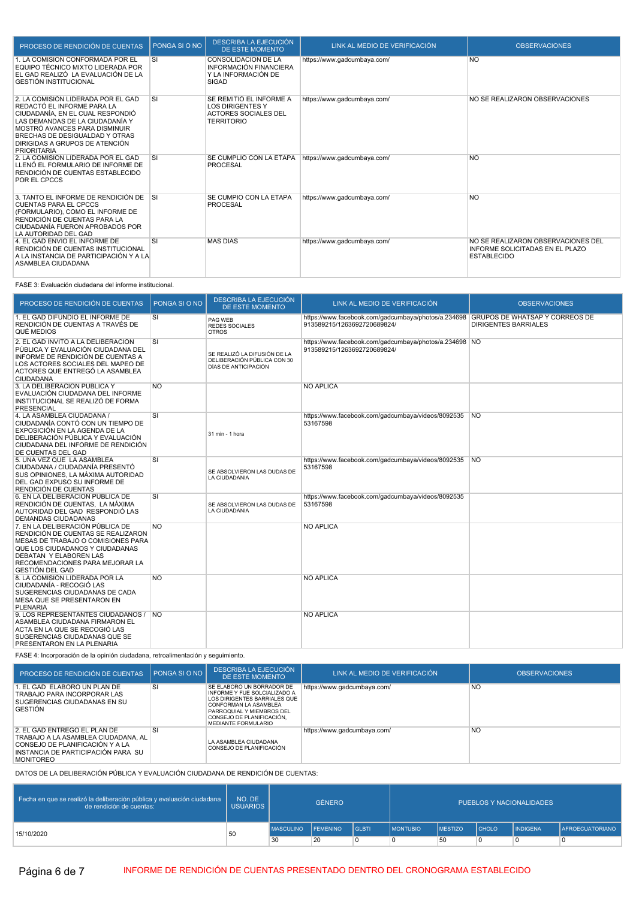| PROCESO DE RENDICIÓN DE CUENTAS                                                                                                                                                                                                                                    | PONGA SI O NO | DESCRIBA LA EJECUCIÓN<br>DE ESTE MOMENTO                                                               | LINK AL MEDIO DE VERIFICACIÓN | <b>OBSERVACIONES</b>                                                                        |
|--------------------------------------------------------------------------------------------------------------------------------------------------------------------------------------------------------------------------------------------------------------------|---------------|--------------------------------------------------------------------------------------------------------|-------------------------------|---------------------------------------------------------------------------------------------|
| 1. LA COMISIÓN CONFORMADA POR EL<br>EQUIPO TÉCNICO MIXTO LIDERADA POR<br>EL GAD REALIZÓ LA EVALUACIÓN DE LA<br><b>GESTIÓN INSTITUCIONAL</b>                                                                                                                        | SI            | CONSOLIDACIÓN DE LA<br><b>INFORMACIÓN FINANCIERA</b><br>Y LA INFORMACIÓN DE<br><b>SIGAD</b>            | https://www.gadcumbaya.com/   | <b>NO</b>                                                                                   |
| 2. LA COMISIÓN LIDERADA POR EL GAD<br>REDACTÓ EL INFORME PARA LA<br>CIUDADANÍA. EN EL CUAL RESPONDIÓ<br>LAS DEMANDAS DE LA CIUDADANÍA Y<br>MOSTRÓ AVANCES PARA DISMINUIR<br>BRECHAS DE DESIGUALDAD Y OTRAS<br>DIRIGIDAS A GRUPOS DE ATENCIÓN<br><b>PRIORITARIA</b> | SI            | SE REMITIÓ EL INFORME A<br><b>LOS DIRIGENTES Y</b><br><b>ACTORES SOCIALES DEL</b><br><b>TERRITORIO</b> | https://www.gadcumbaya.com/   | NO SE REALIZARON OBSERVACIONES                                                              |
| 2. LA COMISIÓN LIDERADA POR EL GAD<br>LLENÓ EL FORMULARIO DE INFORME DE<br>RENDICIÓN DE CUENTAS ESTABLECIDO<br>POR EL CPCCS                                                                                                                                        | SI            | SE CUMPLIÓ CON LA ETAPA<br>PROCESAL                                                                    | https://www.gadcumbaya.com/   | <b>NO</b>                                                                                   |
| 3. TANTO EL INFORME DE RENDICIÓN DE<br><b>CUENTAS PARA EL CPCCS</b><br>(FORMULARIO), COMO EL INFORME DE<br>RENDICIÓN DE CUENTAS PARA LA<br>CIUDADANÍA FUERON APROBADOS POR<br>LA AUTORIDAD DEL GAD                                                                 | <b>SI</b>     | SE CUMPIO CON LA ETAPA<br><b>PROCESAL</b>                                                              | https://www.gadcumbaya.com/   | <b>NO</b>                                                                                   |
| 4. EL GAD ENVIO EL INFORME DE<br>RENDICIÓN DE CUENTAS INSTITUCIONAL<br>A LA INSTANCIA DE PARTICIPACIÓN Y A LA<br>ASAMBLEA CIUDADANA                                                                                                                                | <b>SI</b>     | <b>MAS DIAS</b>                                                                                        | https://www.gadcumbaya.com/   | NO SE REALIZARON OBSERVACIONES DEL<br>INFORME SOLICITADAS EN EL PLAZO<br><b>ESTABLECIDO</b> |

### FASE 3: Evaluación ciudadana del informe institucional.

| PROCESO DE RENDICIÓN DE CUENTAS                                                                                                                                                                                                               | PONGA SI O NO  | DESCRIBA LA EJECUCIÓN<br><b>DE ESTE MOMENTO</b>                                     | LINK AL MEDIO DE VERIFICACIÓN                                                                                     | <b>OBSERVACIONES</b>        |
|-----------------------------------------------------------------------------------------------------------------------------------------------------------------------------------------------------------------------------------------------|----------------|-------------------------------------------------------------------------------------|-------------------------------------------------------------------------------------------------------------------|-----------------------------|
| 1. EL GAD DIFUNDIÓ EL INFORME DE<br>RENDICIÓN DE CUENTAS A TRAVÉS DE<br>QUÉ MEDIOS                                                                                                                                                            | SI             | PAG WEB<br><b>REDES SOCIALES</b><br><b>OTROS</b>                                    | https://www.facebook.com/gadcumbaya/photos/a.234698 GRUPOS DE WHATSAP Y CORREOS DE<br>913589215/1263692720689824/ | <b>DIRIGENTES BARRIALES</b> |
| 2. EL GAD INVITÓ A LA DELIBERACIÓN<br>PÚBLICA Y EVALUACIÓN CIUDADANA DEL<br>INFORME DE RENDICIÓN DE CUENTAS A<br>LOS ACTORES SOCIALES DEL MAPEO DE<br>ACTORES QUE ENTREGÓ LA ASAMBLEA<br><b>CIUDADANA</b>                                     | SI             | SE REALIZÓ LA DIFUSIÓN DE LA<br>DELIBERACIÓN PÚBLICA CON 30<br>DÍAS DE ANTICIPACIÓN | https://www.facebook.com/gadcumbaya/photos/a.234698 NO<br>913589215/1263692720689824/                             |                             |
| 3. LA DELIBERACIÓN PUBLICA Y<br>EVALUACIÓN CIUDADANA DEL INFORME<br>INSTITUCIONAL SE REALIZÓ DE FORMA<br><b>PRESENCIAL</b>                                                                                                                    | <b>NO</b>      |                                                                                     | <b>NO APLICA</b>                                                                                                  |                             |
| 4. LA ASAMBLEA CIUDADANA /<br>CIUDADANÍA CONTÓ CON UN TIEMPO DE<br>EXPOSICIÓN EN LA AGENDA DE LA<br>DELIBERACIÓN PÚBLICA Y EVALUACIÓN<br>CIUDADANA DEL INFORME DE RENDICIÓN<br>DE CUENTAS DEL GAD                                             | SI             | 31 min - 1 hora                                                                     | https://www.facebook.com/gadcumbaya/videos/8092535 NO<br>53167598                                                 |                             |
| 5. UNA VEZ QUE LA ASAMBLEA<br>CIUDADANA / CIUDADANÍA PRESENTÓ<br>SUS OPINIONES. LA MÁXIMA AUTORIDAD<br>DEL GAD EXPUSO SU INFORME DE<br>RENDICIÓN DE CUENTAS                                                                                   | SI             | SE ABSOLVIERON LAS DUDAS DE<br>LA CIUDADANIA                                        | https://www.facebook.com/gadcumbaya/videos/8092535 NO<br>53167598                                                 |                             |
| 6. EN LA DELIBERACIÓN PÚBLICA DE<br>RENDICIÓN DE CUENTAS, LA MÁXIMA<br>AUTORIDAD DEL GAD RESPONDIÓ LAS<br>DEMANDAS CIUDADANAS                                                                                                                 | SI             | SE ABSOLVIERON LAS DUDAS DE<br>LA CIUDADANIA                                        | https://www.facebook.com/gadcumbaya/videos/8092535<br>53167598                                                    |                             |
| 7. EN LA DELIBERACIÓN PÚBLICA DE<br>RENDICIÓN DE CUENTAS SE REALIZARON<br>MESAS DE TRABAJO O COMISIONES PARA<br>QUE LOS CIUDADANOS Y CIUDADANAS<br><b>DEBATAN Y ELABOREN LAS</b><br>RECOMENDACIONES PARA MEJORAR LA<br><b>GESTIÓN DEL GAD</b> | <b>NO</b>      |                                                                                     | <b>NO APLICA</b>                                                                                                  |                             |
| 8. LA COMISIÓN LIDERADA POR LA<br>CIUDADANÍA - RECOGIÓ LAS<br>SUGERENCIAS CIUDADANAS DE CADA<br>MESA QUE SE PRESENTARON EN<br><b>PLENARIA</b>                                                                                                 | <b>NO</b>      |                                                                                     | <b>NO APLICA</b>                                                                                                  |                             |
| 9. LOS REPRESENTANTES CIUDADANOS /<br>ASAMBLEA CIUDADANA FIRMARON EL<br>ACTA EN LA QUE SE RECOGIÓ LAS<br>SUGERENCIAS CIUDADANAS QUE SE<br>PRESENTARON EN LA PLENARIA                                                                          | N <sub>O</sub> |                                                                                     | <b>NO APLICA</b>                                                                                                  |                             |

FASE 4: Incorporación de la opinión ciudadana, retroalimentación y seguimiento.

| PROCESO DE RENDICIÓN DE CUENTAS                                                                                                                                  | PONGA SLO NO | DESCRIBA LA EJECUCIÓN<br>DE ESTE MOMENTO                                                                                                                                                                   | LINK AL MEDIO DE VERIFICACIÓN | <b>OBSERVACIONES</b> |
|------------------------------------------------------------------------------------------------------------------------------------------------------------------|--------------|------------------------------------------------------------------------------------------------------------------------------------------------------------------------------------------------------------|-------------------------------|----------------------|
| 1. EL GAD ELABORÓ UN PLAN DE<br>TRABAJO PARA INCORPORAR LAS<br>SUGERENCIAS CIUDADANAS EN SU<br><b>GESTION</b>                                                    | <b>SI</b>    | SE ELABORO UN BORRADOR DE<br><b>INFORME Y FUE SOLCIALIZADO A</b><br>LOS DIRIGENTES BARRIALES QUE<br>CONFORMAN LA ASAMBLEA<br>PARROQUIAL Y MIEMBROS DEL<br>CONSEJO DE PLANIFICACIÓN.<br>MEDIANTE FORMULARIO | https://www.gadcumbaya.com/   | <b>NO</b>            |
| 2. EL GAD ENTREGO EL PLAN DE<br>TRABAJO A LA ASAMBLEA CIUDADANA. AL<br>CONSEJO DE PLANIFICACIÓN Y A LA<br>INSTANCIA DE PARTICIPACIÓN PARA SU<br><b>MONITOREO</b> | SI           | LA ASAMBLEA CIUDADANA<br>CONSEJO DE PLANIFICACIÓN                                                                                                                                                          | https://www.gadcumbaya.com/   | <b>NO</b>            |

DATOS DE LA DELIBERACIÓN PÚBLICA Y EVALUACIÓN CIUDADANA DE RENDICIÓN DE CUENTAS:

| Fecha en que se realizó la deliberación pública y evaluación ciudadana<br>de rendición de cuentas: | NO. DE<br><b>USUARIOS</b> | <b>GÉNERO</b>    |                 |                | PUEBLOS Y NACIONALIDADES |                |                |                 |                        |
|----------------------------------------------------------------------------------------------------|---------------------------|------------------|-----------------|----------------|--------------------------|----------------|----------------|-----------------|------------------------|
| 15/10/2020                                                                                         | 50                        | <b>MASCULINO</b> | <b>FEMENINO</b> | <b>I</b> GLBTI | <b>IMONTUBIO</b>         | <b>MESTIZO</b> | <b>I</b> CHOLO | <b>INDIGENA</b> | <b>AFROECUATORIANO</b> |
|                                                                                                    |                           | 30               | 20              | 0              |                          | 50             |                |                 |                        |